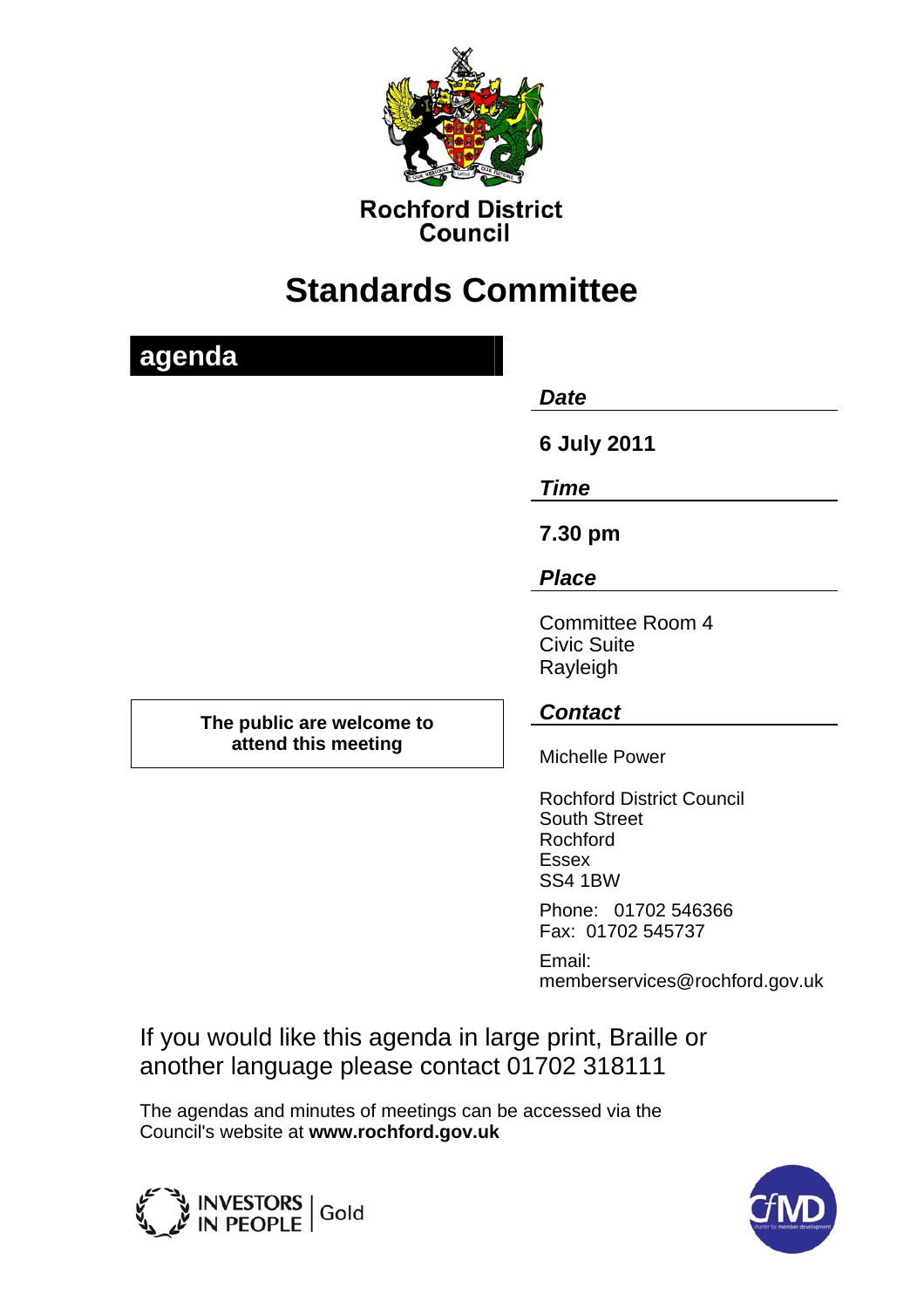

**Rochford District Council** 

# **Standards Committee**

| agenda                                           |                                                                                                       |
|--------------------------------------------------|-------------------------------------------------------------------------------------------------------|
|                                                  | <b>Date</b>                                                                                           |
|                                                  | <b>6 July 2011</b>                                                                                    |
|                                                  | <b>Time</b>                                                                                           |
|                                                  | 7.30 pm                                                                                               |
|                                                  | <b>Place</b>                                                                                          |
|                                                  | <b>Committee Room 4</b><br><b>Civic Suite</b><br>Rayleigh                                             |
| The public are welcome to<br>attend this meeting | <b>Contact</b>                                                                                        |
|                                                  | <b>Michelle Power</b>                                                                                 |
|                                                  | <b>Rochford District Council</b><br><b>South Street</b><br>Rochford<br><b>Essex</b><br><b>SS4 1BW</b> |
|                                                  | Phone: 01702 546366<br>Fax: 01702 545737                                                              |

Email: memberservices@rochford.gov.uk

If you would like this agenda in large print, Braille or another language please contact 01702 318111

The agendas and minutes of meetings can be accessed via the Council's website at **www.rochford.gov.uk**



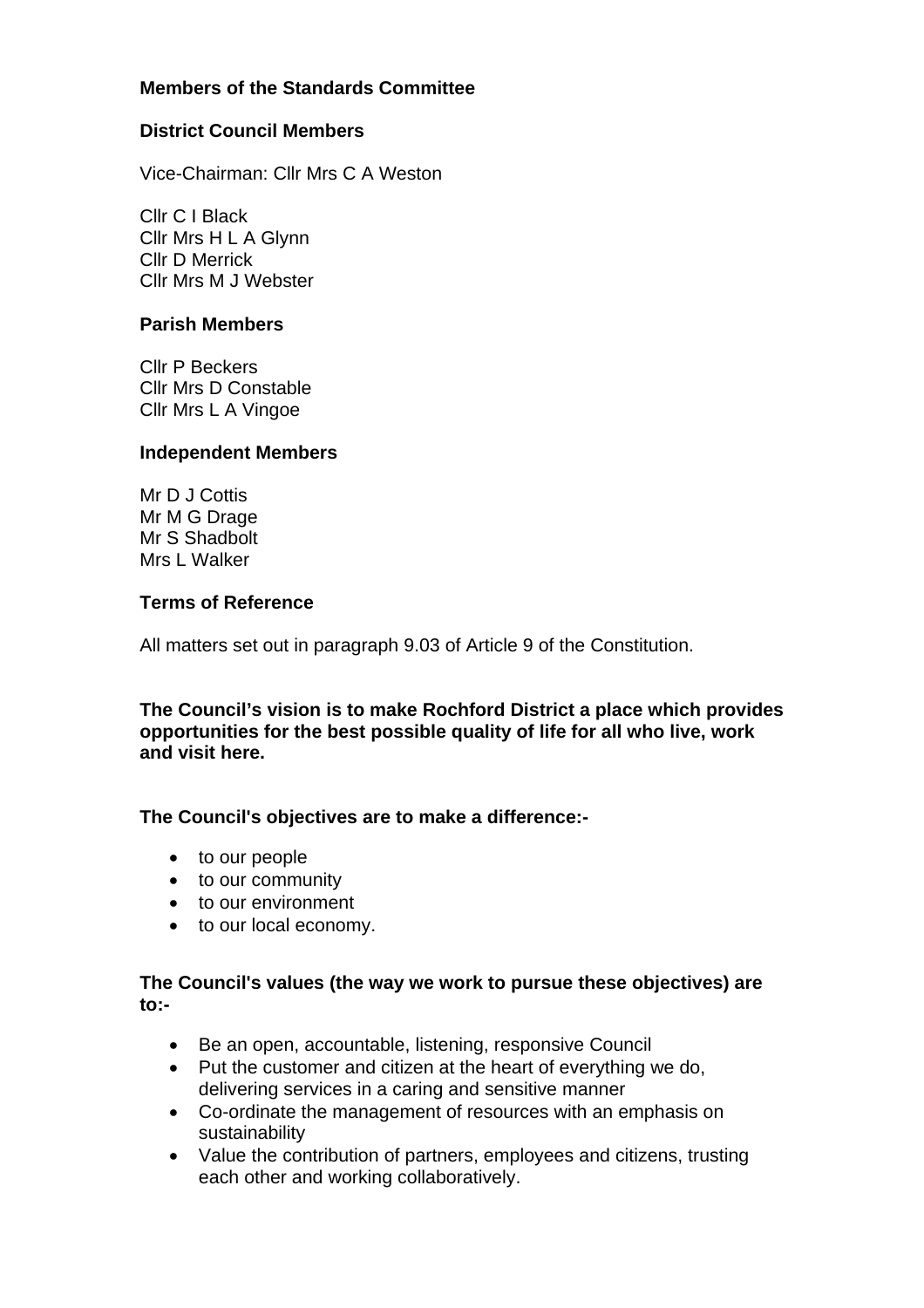# **Members of the Standards Committee**

## **District Council Members**

Vice-Chairman: Cllr Mrs C A Weston

Cllr C I Black Cllr Mrs H L A Glynn Cllr D Merrick Cllr Mrs M J Webster

### **Parish Members**

Cllr P Beckers Cllr Mrs D Constable Cllr Mrs L A Vingoe

#### **Independent Members**

Mr D J Cottis Mr M G Drage Mr S Shadbolt Mrs L Walker

#### **Terms of Reference**

All matters set out in paragraph 9.03 of Article 9 of the Constitution.

**The Council's vision is to make Rochford District a place which provides opportunities for the best possible quality of life for all who live, work and visit here.** 

## **The Council's objectives are to make a difference:-**

- to our people
- to our community
- to our environment
- to our local economy.

## **The Council's values (the way we work to pursue these objectives) are to:-**

- Be an open, accountable, listening, responsive Council
- Put the customer and citizen at the heart of everything we do, delivering services in a caring and sensitive manner
- Co-ordinate the management of resources with an emphasis on sustainability
- Value the contribution of partners, employees and citizens, trusting each other and working collaboratively.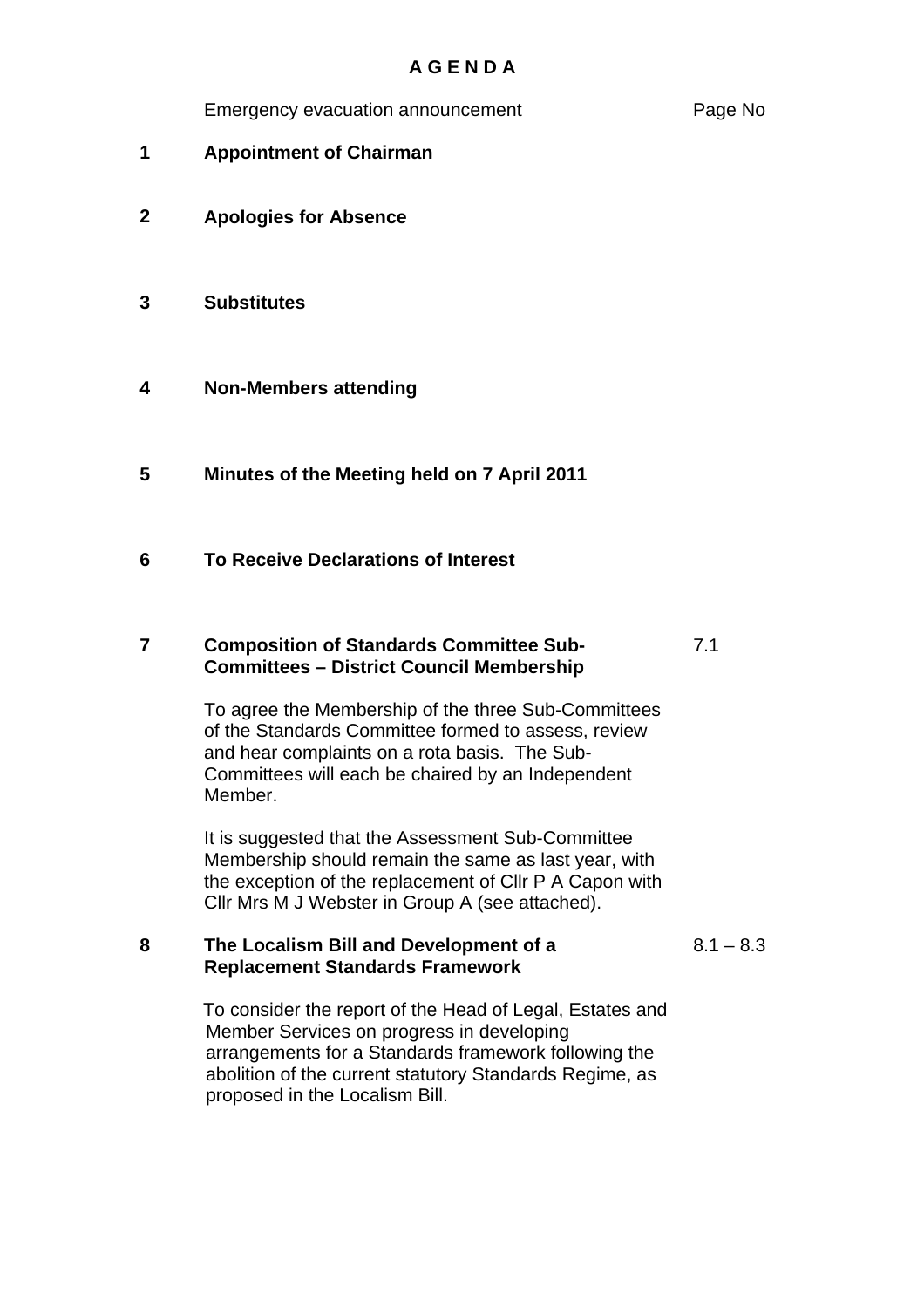Emergency evacuation announcement **Page No** 

- **1 Appointment of Chairman**
- **2 Apologies for Absence**
- **3 Substitutes**
- **4 Non-Members attending**
- **5 Minutes of the Meeting held on 7 April 2011**
- **6 To Receive Declarations of Interest**

#### **7 Composition of Standards Committee Sub-Committees – District Council Membership** 7.1

To agree the Membership of the three Sub-Committees of the Standards Committee formed to assess, review and hear complaints on a rota basis. The Sub-Committees will each be chaired by an Independent Member.

It is suggested that the Assessment Sub-Committee Membership should remain the same as last year, with the exception of the replacement of Cllr P A Capon with Cllr Mrs M J Webster in Group A (see attached).

# **8 The Localism Bill and Development of a Replacement Standards Framework**

 $8.1 - 8.3$ 

To consider the report of the Head of Legal, Estates and Member Services on progress in developing arrangements for a Standards framework following the abolition of the current statutory Standards Regime, as proposed in the Localism Bill.